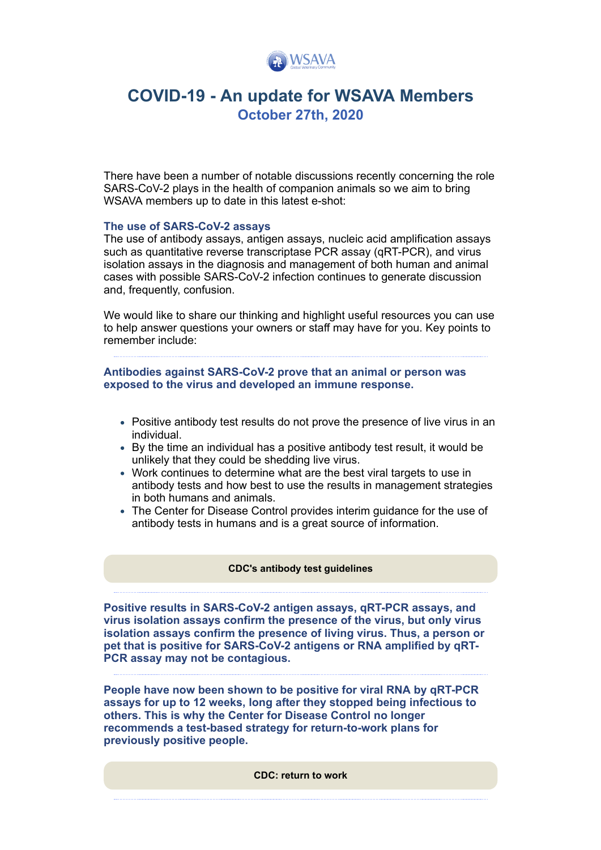

# **COVID-19 - An update for WSAVA Members October 27th, 2020**

There have been a number of notable discussions recently concerning the role SARS-CoV-2 plays in the health of companion animals so we aim to bring WSAVA members up to date in this latest e-shot:

## **The use of SARS-CoV-2 assays**

The use of antibody assays, antigen assays, nucleic acid amplification assays such as quantitative reverse transcriptase PCR assay (qRT-PCR), and virus isolation assays in the diagnosis and management of both human and animal cases with possible SARS-CoV-2 infection continues to generate discussion and, frequently, confusion.

We would like to share our thinking and highlight useful resources you can use to help answer questions your owners or staff may have for you. Key points to remember include:

**Antibodies against SARS-CoV-2 prove that an animal or person was exposed to the virus and developed an immune response.**

- Positive antibody test results do not prove the presence of live virus in an individual.
- By the time an individual has a positive antibody test result, it would be unlikely that they could be shedding live virus.
- Work continues to determine what are the best viral targets to use in antibody tests and how best to use the results in management strategies in both humans and animals.
- The Center for Disease Control provides interim guidance for the use of antibody tests in humans and is a great source of information.

#### **[CDC's antibody test guidelines](https://www.cdc.gov/coronavirus/2019-ncov/lab/resources/antibody-tests-guidelines.html?utm_source=hs_email&utm_medium=email&_hsenc=p2ANqtz-9TiOj3mMpc2Yx1NCB8iwVoJgKHO6XFdxve4dXZ1x6c7h9D3Q8r0fZFOOg9lBVTCRLCOsY6)**

**Positive results in SARS-CoV-2 antigen assays, qRT-PCR assays, and virus isolation assays confirm the presence of the virus, but only virus isolation assays confirm the presence of living virus. Thus, a person or pet that is positive for SARS-CoV-2 antigens or RNA amplified by qRT-PCR assay may not be contagious.**

**People have now been shown to be positive for viral RNA by qRT-PCR assays for up to 12 weeks, long after they stopped being infectious to others. This is why the Center for Disease Control no longer recommends a test-based strategy for return-to-work plans for previously positive people.**

**[CDC: return to work](https://www.cdc.gov/coronavirus/2019-ncov/hcp/return-to-work.html?utm_source=hs_email&utm_medium=email&_hsenc=p2ANqtz-9TiOj3mMpc2Yx1NCB8iwVoJgKHO6XFdxve4dXZ1x6c7h9D3Q8r0fZFOOg9lBVTCRLCOsY6)**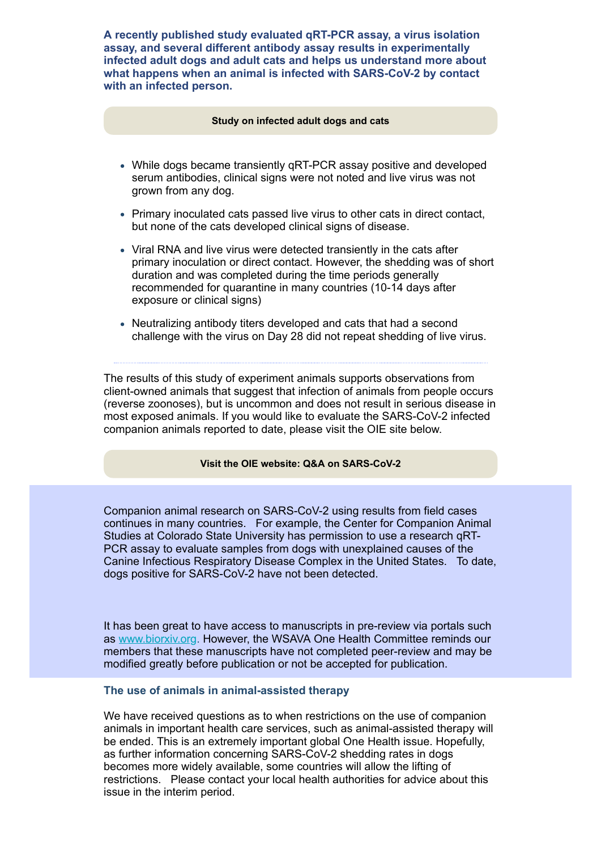**A recently published study evaluated qRT-PCR assay, a virus isolation assay, and several different antibody assay results in experimentally infected adult dogs and adult cats and helps us understand more about what happens when an animal is infected with SARS-CoV-2 by contact with an infected person.**

#### **[Study on infected adult dogs and cats](https://www.pnas.org/content/117/42/26382.abstract?utm_source=hs_email&utm_medium=email&_hsenc=p2ANqtz-9TiOj3mMpc2Yx1NCB8iwVoJgKHO6XFdxve4dXZ1x6c7h9D3Q8r0fZFOOg9lBVTCRLCOsY6)**

- While dogs became transiently qRT-PCR assay positive and developed serum antibodies, clinical signs were not noted and live virus was not grown from any dog.
- Primary inoculated cats passed live virus to other cats in direct contact, but none of the cats developed clinical signs of disease.
- Viral RNA and live virus were detected transiently in the cats after primary inoculation or direct contact. However, the shedding was of short duration and was completed during the time periods generally recommended for quarantine in many countries (10-14 days after exposure or clinical signs)
- Neutralizing antibody titers developed and cats that had a second challenge with the virus on Day 28 did not repeat shedding of live virus.

The results of this study of experiment animals supports observations from client-owned animals that suggest that infection of animals from people occurs (reverse zoonoses), but is uncommon and does not result in serious disease in most exposed animals. If you would like to evaluate the SARS-CoV-2 infected companion animals reported to date, please visit the OIE site below.

## **[Visit the OIE website: Q&A on SARS-CoV-2](https://www.oie.int/en/scientific-expertise/specific-information-and-recommendations/questions-and-answers-on-2019novel-coronavirus/events-in-animals/?utm_source=hs_email&utm_medium=email&_hsenc=p2ANqtz-9TiOj3mMpc2Yx1NCB8iwVoJgKHO6XFdxve4dXZ1x6c7h9D3Q8r0fZFOOg9lBVTCRLCOsY6)**

Companion animal research on SARS-CoV-2 using results from field cases continues in many countries. For example, the Center for Companion Animal Studies at Colorado State University has permission to use a research qRT-PCR assay to evaluate samples from dogs with unexplained causes of the Canine Infectious Respiratory Disease Complex in the United States. To date, dogs positive for SARS-CoV-2 have not been detected.

It has been great to have access to manuscripts in pre-review via portals such as [www.biorxiv.org](http://www.biorxiv.org/?utm_source=hs_email&utm_medium=email&_hsenc=p2ANqtz-9TiOj3mMpc2Yx1NCB8iwVoJgKHO6XFdxve4dXZ1x6c7h9D3Q8r0fZFOOg9lBVTCRLCOsY6). However, the WSAVA One Health Committee reminds our members that these manuscripts have not completed peer-review and may be modified greatly before publication or not be accepted for publication.

## **The use of animals in animal-assisted therapy**

We have received questions as to when restrictions on the use of companion animals in important health care services, such as animal-assisted therapy will be ended. This is an extremely important global One Health issue. Hopefully, as further information concerning SARS-CoV-2 shedding rates in dogs becomes more widely available, some countries will allow the lifting of restrictions. Please contact your local health authorities for advice about this issue in the interim period.